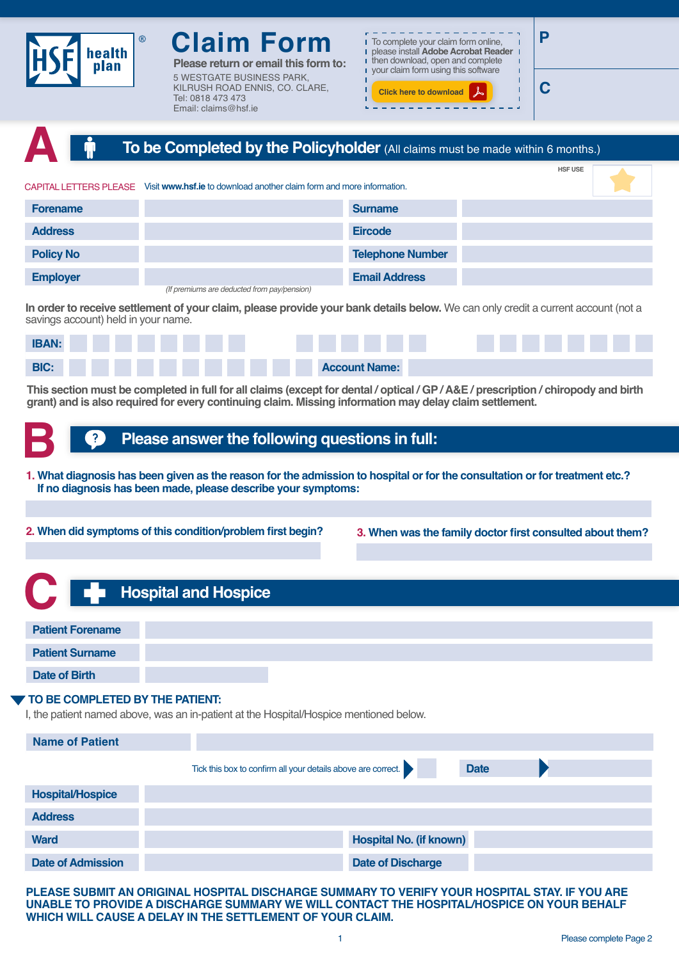

**Plange remail this form to:** 5 WESTGATE BUSINESS PARK, KILRUSH ROAD ENNIS, CO. CLARE, Tel: 0818 473 473 Email: claims@hsf.ie



<u> 1989 - Jan James Barnett, p</u>

**C**

| A                      | To be Completed by the Policyholder (All claims must be made within 6 months.) |                |
|------------------------|--------------------------------------------------------------------------------|----------------|
|                        |                                                                                | <b>HSF USE</b> |
| CAPITAL LETTERS PLEASE | Visit www.hsf.ie to download another claim form and more information.          |                |
| <b>Forename</b>        | <b>Surname</b>                                                                 |                |
| <b>Address</b>         | <b>Eircode</b>                                                                 |                |
| <b>Policy No</b>       | <b>Telephone Number</b>                                                        |                |
| <b>Employer</b>        | <b>Email Address</b>                                                           |                |
|                        | (If premiums are deducted from pay/pension)                                    |                |

**In order to receive settlement of your claim, please provide your bank details below.** We can only credit a current account (not a savings account) held in your name.



**This section must be completed in full for all claims (except for dental / optical / GP / A&E / prescription / chiropody and birth grant) and is also required for every continuing claim. Missing information may delay claim settlement.**

## **Please answer the following questions in full:**

**1. What diagnosis has been given as the reason for the admission to hospital or for the consultation or for treatment etc.? If no diagnosis has been made, please describe your symptoms: B**

**2. When did symptoms of this condition/problem first begin? 3. When was the family doctor first consulted about them?**

| <b>Compared Hospital and Hospice</b> |  |
|--------------------------------------|--|
| <b>Patient Forename</b>              |  |
| <b>Patient Surname</b>               |  |
| Date of Birth                        |  |
| TO BE COMPLETED BY THE PATIENT:      |  |

I, the patient named above, was an in-patient at the Hospital/Hospice mentioned below.

| <b>Name of Patient</b>   |                                                                             |
|--------------------------|-----------------------------------------------------------------------------|
|                          | Tick this box to confirm all your details above are correct.<br><b>Date</b> |
| <b>Hospital/Hospice</b>  |                                                                             |
| <b>Address</b>           |                                                                             |
| <b>Ward</b>              | <b>Hospital No. (if known)</b>                                              |
| <b>Date of Admission</b> | <b>Date of Discharge</b>                                                    |

**PLEASE SUBMIT AN ORIGINAL HOSPITAL DISCHARGE SUMMARY TO VERIFY YOUR HOSPITAL STAY. IF YOU ARE UNABLE TO PROVIDE A DISCHARGE SUMMARY WE WILL CONTACT THE HOSPITAL/HOSPICE ON YOUR BEHALF WHICH WILL CAUSE A DELAY IN THE SETTLEMENT OF YOUR CLAIM.**